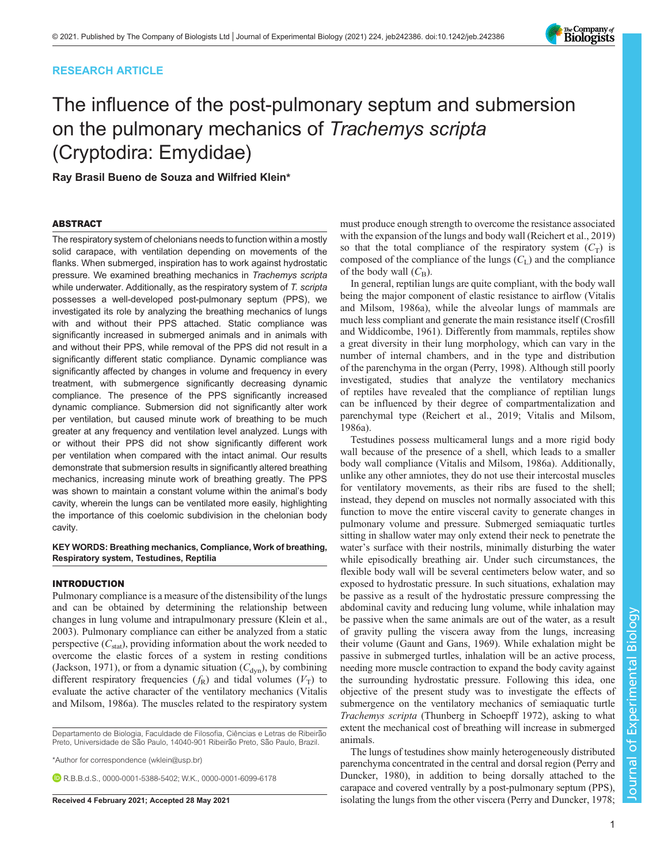### RESEARCH ARTICLE

# The influence of the post-pulmonary septum and submersion on the pulmonary mechanics of Trachemys scripta (Cryptodira: Emydidae)

Ray Brasil Bueno de Souza and Wilfried Klein\*

### ABSTRACT

The respiratory system of chelonians needs to function within a mostly solid carapace, with ventilation depending on movements of the flanks. When submerged, inspiration has to work against hydrostatic pressure. We examined breathing mechanics in Trachemys scripta while underwater. Additionally, as the respiratory system of T. scripta possesses a well-developed post-pulmonary septum (PPS), we investigated its role by analyzing the breathing mechanics of lungs with and without their PPS attached. Static compliance was significantly increased in submerged animals and in animals with and without their PPS, while removal of the PPS did not result in a significantly different static compliance. Dynamic compliance was significantly affected by changes in volume and frequency in every treatment, with submergence significantly decreasing dynamic compliance. The presence of the PPS significantly increased dynamic compliance. Submersion did not significantly alter work per ventilation, but caused minute work of breathing to be much greater at any frequency and ventilation level analyzed. Lungs with or without their PPS did not show significantly different work per ventilation when compared with the intact animal. Our results demonstrate that submersion results in significantly altered breathing mechanics, increasing minute work of breathing greatly. The PPS was shown to maintain a constant volume within the animal's body cavity, wherein the lungs can be ventilated more easily, highlighting the importance of this coelomic subdivision in the chelonian body cavity.

### KEY WORDS: Breathing mechanics, Compliance, Work of breathing, Respiratory system, Testudines, Reptilia

### INTRODUCTION

Pulmonary compliance is a measure of the distensibility of the lungs and can be obtained by determining the relationship between changes in lung volume and intrapulmonary pressure [\(Klein et al.,](#page-9-0) [2003](#page-9-0)). Pulmonary compliance can either be analyzed from a static perspective  $(C_{stat})$ , providing information about the work needed to overcome the elastic forces of a system in resting conditions [\(Jackson, 1971\)](#page-9-0), or from a dynamic situation  $(C_{dyn})$ , by combining different respiratory frequencies  $(f_R)$  and tidal volumes  $(V_T)$  to evaluate the active character of the ventilatory mechanics [\(Vitalis](#page-9-0) [and Milsom, 1986a\)](#page-9-0). The muscles related to the respiratory system

Departamento de Biologia, Faculdade de Filosofia, Ciências e Letras de Ribeirão Preto, Universidade de São Paulo, 14040-901 Ribeirão Preto, São Paulo, Brazil.

\*Author for correspondence [\(wklein@usp.br](mailto:wklein@usp.br))

**DRRBdS** [0000-0001-5388-5402;](http://orcid.org/0000-0001-5388-5402) W.K., [0000-0001-6099-6178](http://orcid.org/0000-0001-6099-6178)

must produce enough strength to overcome the resistance associated with the expansion of the lungs and body wall ([Reichert et al., 2019\)](#page-9-0) so that the total compliance of the respiratory system  $(C_T)$  is composed of the compliance of the lungs  $(C<sub>L</sub>)$  and the compliance of the body wall  $(C_{\text{B}})$ .

In general, reptilian lungs are quite compliant, with the body wall being the major component of elastic resistance to airflow [\(Vitalis](#page-9-0) [and Milsom, 1986a](#page-9-0)), while the alveolar lungs of mammals are much less compliant and generate the main resistance itself ([Crosfill](#page-9-0) [and Widdicombe, 1961\)](#page-9-0). Differently from mammals, reptiles show a great diversity in their lung morphology, which can vary in the number of internal chambers, and in the type and distribution of the parenchyma in the organ [\(Perry, 1998\)](#page-9-0). Although still poorly investigated, studies that analyze the ventilatory mechanics of reptiles have revealed that the compliance of reptilian lungs can be influenced by their degree of compartmentalization and parenchymal type [\(Reichert et al., 2019](#page-9-0); [Vitalis and Milsom,](#page-9-0) [1986a](#page-9-0)).

Testudines possess multicameral lungs and a more rigid body wall because of the presence of a shell, which leads to a smaller body wall compliance ([Vitalis and Milsom, 1986a\)](#page-9-0). Additionally, unlike any other amniotes, they do not use their intercostal muscles for ventilatory movements, as their ribs are fused to the shell; instead, they depend on muscles not normally associated with this function to move the entire visceral cavity to generate changes in pulmonary volume and pressure. Submerged semiaquatic turtles sitting in shallow water may only extend their neck to penetrate the water's surface with their nostrils, minimally disturbing the water while episodically breathing air. Under such circumstances, the flexible body wall will be several centimeters below water, and so exposed to hydrostatic pressure. In such situations, exhalation may be passive as a result of the hydrostatic pressure compressing the abdominal cavity and reducing lung volume, while inhalation may be passive when the same animals are out of the water, as a result of gravity pulling the viscera away from the lungs, increasing their volume ([Gaunt and Gans, 1969](#page-9-0)). While exhalation might be passive in submerged turtles, inhalation will be an active process, needing more muscle contraction to expand the body cavity against the surrounding hydrostatic pressure. Following this idea, one objective of the present study was to investigate the effects of submergence on the ventilatory mechanics of semiaquatic turtle Trachemys scripta (Thunberg in Schoepff 1972), asking to what extent the mechanical cost of breathing will increase in submerged animals.

The lungs of testudines show mainly heterogeneously distributed parenchyma concentrated in the central and dorsal region [\(Perry and](#page-9-0) [Duncker, 1980\)](#page-9-0), in addition to being dorsally attached to the carapace and covered ventrally by a post-pulmonary septum (PPS), Received 4 February 2021; Accepted 28 May 2021 isolating the lungs from the other viscera [\(Perry and Duncker, 1978](#page-9-0);

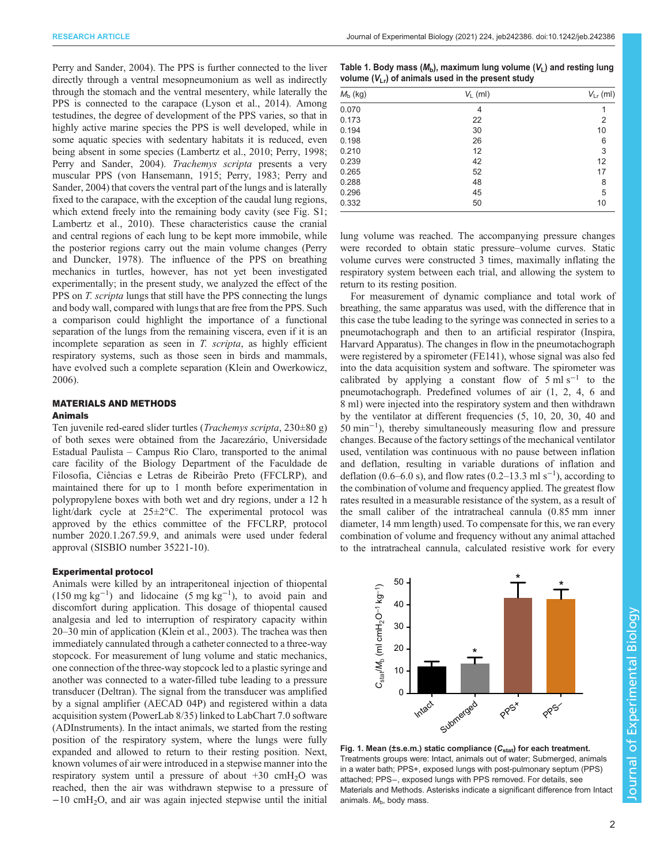<span id="page-1-0"></span>[Perry and Sander, 2004](#page-9-0)). The PPS is further connected to the liver directly through a ventral mesopneumonium as well as indirectly through the stomach and the ventral mesentery, while laterally the PPS is connected to the carapace [\(Lyson et al., 2014\)](#page-9-0). Among testudines, the degree of development of the PPS varies, so that in highly active marine species the PPS is well developed, while in some aquatic species with sedentary habitats it is reduced, even being absent in some species [\(Lambertz et al., 2010; Perry, 1998](#page-9-0); [Perry and Sander, 2004\)](#page-9-0). Trachemys scripta presents a very muscular PPS ([von Hansemann, 1915; Perry, 1983](#page-9-0); [Perry and](#page-9-0) [Sander, 2004](#page-9-0)) that covers the ventral part of the lungs and is laterally fixed to the carapace, with the exception of the caudal lung regions, which extend freely into the remaining body cavity (see [Fig. S1](https://journals.biologists.com/jeb/article-lookup/DOI/10.1242/jeb.242386); [Lambertz et al., 2010](#page-9-0)). These characteristics cause the cranial and central regions of each lung to be kept more immobile, while the posterior regions carry out the main volume changes ([Perry](#page-9-0) [and Duncker, 1978](#page-9-0)). The influence of the PPS on breathing mechanics in turtles, however, has not yet been investigated experimentally; in the present study, we analyzed the effect of the PPS on T. scripta lungs that still have the PPS connecting the lungs and body wall, compared with lungs that are free from the PPS. Such a comparison could highlight the importance of a functional separation of the lungs from the remaining viscera, even if it is an incomplete separation as seen in T. scripta, as highly efficient respiratory systems, such as those seen in birds and mammals, have evolved such a complete separation ([Klein and Owerkowicz,](#page-9-0) [2006](#page-9-0)).

### MATERIALS AND METHODS Animals

Ten juvenile red-eared slider turtles (Trachemys scripta, 230±80 g) of both sexes were obtained from the Jacarezário, Universidade Estadual Paulista – Campus Rio Claro, transported to the animal care facility of the Biology Department of the Faculdade de Filosofia, Ciências e Letras de Ribeirão Preto (FFCLRP), and maintained there for up to 1 month before experimentation in polypropylene boxes with both wet and dry regions, under a 12 h light/dark cycle at 25±2°C. The experimental protocol was approved by the ethics committee of the FFCLRP, protocol number 2020.1.267.59.9, and animals were used under federal approval (SISBIO number 35221-10).

### Experimental protocol

Animals were killed by an intraperitoneal injection of thiopental (150 mg kg−<sup>1</sup> ) and lidocaine (5 mg kg−<sup>1</sup> ), to avoid pain and discomfort during application. This dosage of thiopental caused analgesia and led to interruption of respiratory capacity within 20–30 min of application [\(Klein et al., 2003\)](#page-9-0). The trachea was then immediately cannulated through a catheter connected to a three-way stopcock. For measurement of lung volume and static mechanics, one connection of the three-way stopcock led to a plastic syringe and another was connected to a water-filled tube leading to a pressure transducer (Deltran). The signal from the transducer was amplified by a signal amplifier (AECAD 04P) and registered within a data acquisition system (PowerLab 8/35) linked to LabChart 7.0 software (ADInstruments). In the intact animals, we started from the resting position of the respiratory system, where the lungs were fully expanded and allowed to return to their resting position. Next, known volumes of air were introduced in a stepwise manner into the respiratory system until a pressure of about  $+30$  cmH<sub>2</sub>O was reached, then the air was withdrawn stepwise to a pressure of −10 cmH2O, and air was again injected stepwise until the initial

| Table 1. Body mass ( $M_{\rm b}$ ), maximum lung volume ( $V_{\rm L}$ ) and resting lung |
|------------------------------------------------------------------------------------------|
| volume $(V_{1r})$ of animals used in the present study                                   |

| $M_{b}$ (kg) | $V_L$ (ml) | $V_{\text{Lr}}$ (ml) |
|--------------|------------|----------------------|
| 0.070        | 4          |                      |
| 0.173        | 22         | $\overline{2}$       |
| 0.194        | 30         | 10                   |
| 0.198        | 26         | 6                    |
| 0.210        | 12         | 3                    |
| 0.239        | 42         | 12                   |
| 0.265        | 52         | 17                   |
| 0.288        | 48         | 8                    |
| 0.296        | 45         | 5                    |
| 0.332        | 50         | 10                   |

lung volume was reached. The accompanying pressure changes were recorded to obtain static pressure–volume curves. Static volume curves were constructed 3 times, maximally inflating the respiratory system between each trial, and allowing the system to return to its resting position.

For measurement of dynamic compliance and total work of breathing, the same apparatus was used, with the difference that in this case the tube leading to the syringe was connected in series to a pneumotachograph and then to an artificial respirator (Inspira, Harvard Apparatus). The changes in flow in the pneumotachograph were registered by a spirometer (FE141), whose signal was also fed into the data acquisition system and software. The spirometer was calibrated by applying a constant flow of  $5 \text{ ml s}^{-1}$  to the pneumotachograph. Predefined volumes of air (1, 2, 4, 6 and 8 ml) were injected into the respiratory system and then withdrawn by the ventilator at different frequencies (5, 10, 20, 30, 40 and 50 min−<sup>1</sup> ), thereby simultaneously measuring flow and pressure changes. Because of the factory settings of the mechanical ventilator used, ventilation was continuous with no pause between inflation and deflation, resulting in variable durations of inflation and deflation (0.6–6.0 s), and flow rates (0.2–13.3 ml s<sup>-1</sup>), according to the combination of volume and frequency applied. The greatest flow rates resulted in a measurable resistance of the system, as a result of the small caliber of the intratracheal cannula (0.85 mm inner diameter, 14 mm length) used. To compensate for this, we ran every combination of volume and frequency without any animal attached to the intratracheal cannula, calculated resistive work for every



Fig. 1. Mean (±s.e.m.) static compliance  $(C_{stat})$  for each treatment. Treatments groups were: Intact, animals out of water; Submerged, animals in a water bath; PPS+, exposed lungs with post-pulmonary septum (PPS) attached; PPS−, exposed lungs with PPS removed. For details, see Materials and Methods. Asterisks indicate a significant difference from Intact animals.  $M<sub>b</sub>$ , body mass.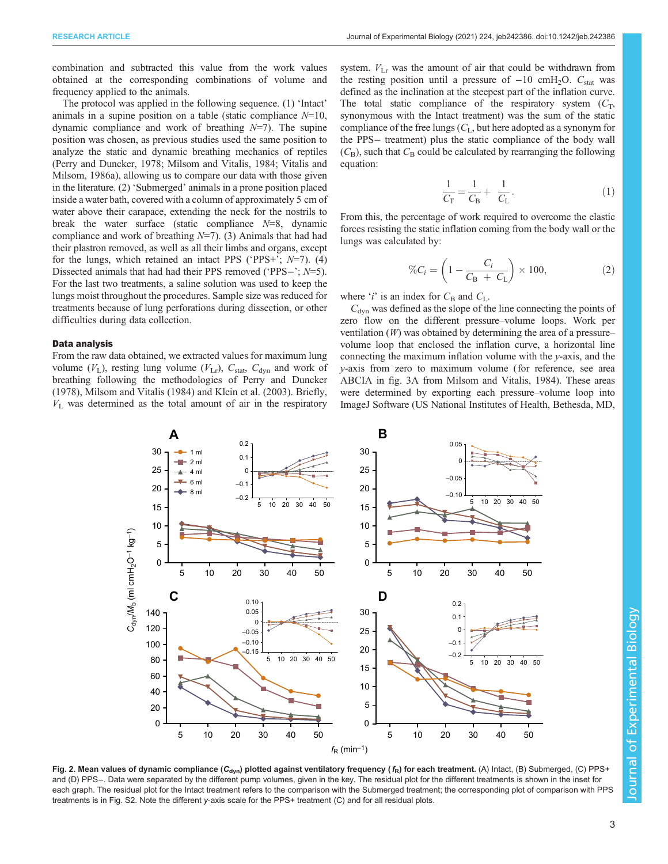<span id="page-2-0"></span>combination and subtracted this value from the work values obtained at the corresponding combinations of volume and frequency applied to the animals.

The protocol was applied in the following sequence. (1) 'Intact' animals in a supine position on a table (static compliance  $N=10$ , dynamic compliance and work of breathing  $N=7$ ). The supine position was chosen, as previous studies used the same position to analyze the static and dynamic breathing mechanics of reptiles [\(Perry and Duncker, 1978; Milsom and Vitalis, 1984](#page-9-0); [Vitalis and](#page-9-0) [Milsom, 1986a\)](#page-9-0), allowing us to compare our data with those given in the literature. (2) 'Submerged' animals in a prone position placed inside a water bath, covered with a column of approximately 5 cm of water above their carapace, extending the neck for the nostrils to break the water surface (static compliance  $N=8$ , dynamic compliance and work of breathing  $N=7$ ). (3) Animals that had had their plastron removed, as well as all their limbs and organs, except for the lungs, which retained an intact PPS ('PPS+';  $N=7$ ). (4) Dissected animals that had had their PPS removed ('PPS−'; N=5). For the last two treatments, a saline solution was used to keep the lungs moist throughout the procedures. Sample size was reduced for treatments because of lung perforations during dissection, or other difficulties during data collection.

### Data analysis

From the raw data obtained, we extracted values for maximum lung volume  $(V_L)$ , resting lung volume  $(V_{Lr})$ ,  $C_{stat}$ ,  $C_{dyn}$  and work of breathing following the methodologies of [Perry and Duncker](#page-9-0) [\(1978\)](#page-9-0), [Milsom and Vitalis \(1984\)](#page-9-0) and [Klein et al. \(2003\)](#page-9-0). Briefly,  $V<sub>L</sub>$  was determined as the total amount of air in the respiratory system.  $V_{\text{Lr}}$  was the amount of air that could be withdrawn from the resting position until a pressure of  $-10 \text{ cm}H_2O$ . C<sub>stat</sub> was defined as the inclination at the steepest part of the inflation curve. The total static compliance of the respiratory system  $(C_T)$ , synonymous with the Intact treatment) was the sum of the static compliance of the free lungs  $(C<sub>L</sub>$ , but here adopted as a synonym for the PPS− treatment) plus the static compliance of the body wall  $(C_{\text{B}})$ , such that  $C_{\text{B}}$  could be calculated by rearranging the following equation:

$$
\frac{1}{C_{\rm T}} = \frac{1}{C_{\rm B}} + \frac{1}{C_{\rm L}}.\tag{1}
$$

From this, the percentage of work required to overcome the elastic forces resisting the static inflation coming from the body wall or the lungs was calculated by:

$$
\%C_i = \left(1 - \frac{C_i}{C_B + C_L}\right) \times 100,\tag{2}
$$

where '*i*' is an index for  $C_{\text{B}}$  and  $C_{\text{L}}$ .

 $C<sub>dyn</sub>$  was defined as the slope of the line connecting the points of zero flow on the different pressure–volume loops. Work per ventilation  $(W)$  was obtained by determining the area of a pressure– volume loop that enclosed the inflation curve, a horizontal line connecting the maximum inflation volume with the y-axis, and the y-axis from zero to maximum volume (for reference, see area ABCIA in fig. 3A from [Milsom and Vitalis, 1984\)](#page-9-0). These areas were determined by exporting each pressure–volume loop into ImageJ Software (US National Institutes of Health, Bethesda, MD,



Fig. 2. Mean values of dynamic compliance ( $C_{dyn}$ ) plotted against ventilatory frequency ( $f_R$ ) for each treatment. (A) Intact, (B) Submerged, (C) PPS+ and (D) PPS−. Data were separated by the different pump volumes, given in the key. The residual plot for the different treatments is shown in the inset for each graph. The residual plot for the Intact treatment refers to the comparison with the Submerged treatment; the corresponding plot of comparison with PPS treatments is in [Fig. S2.](https://journals.biologists.com/jeb/article-lookup/DOI/10.1242/jeb.242386) Note the different y-axis scale for the PPS+ treatment (C) and for all residual plots.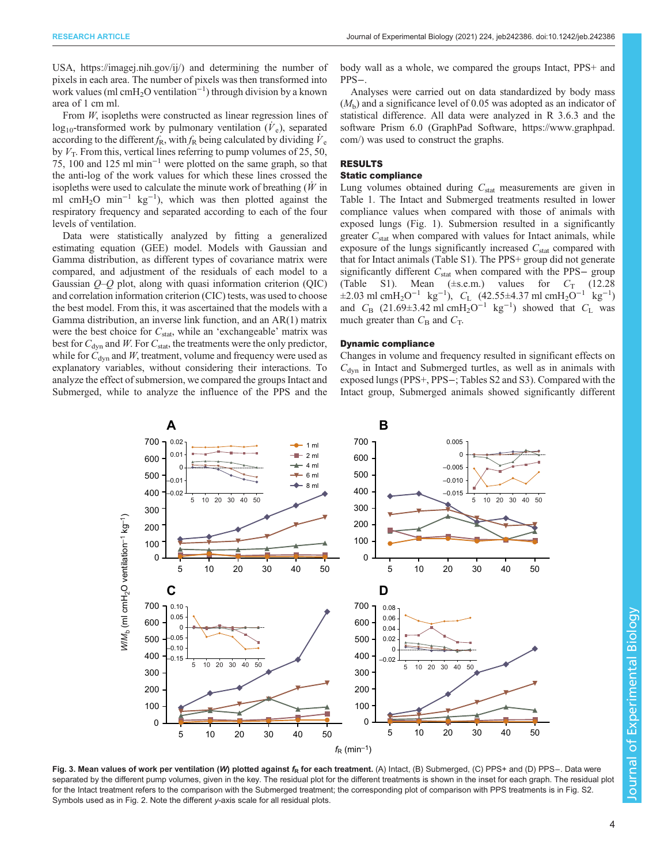<span id="page-3-0"></span>USA, [https://imagej.nih.gov/ij/\)](https://imagej.nih.gov/ij/) and determining the number of pixels in each area. The number of pixels was then transformed into work values (ml cmH2O ventilation<sup>−</sup><sup>1</sup> ) through division by a known area of 1 cm ml.

From *W*, isopleths were constructed as linear regression lines of  $log_{10}$ -transformed work by pulmonary ventilation  $(\dot{V}_e)$ , separated according to the different  $f_R$ , with  $f_R$  being calculated by dividing  $V_e$ by  $V_T$ . From this, vertical lines referring to pump volumes of 25, 50, 75, 100 and 125 ml min−<sup>1</sup> were plotted on the same graph, so that the anti-log of the work values for which these lines crossed the isopleths were used to calculate the minute work of breathing  $(W$  in ml cmH2O min<sup>−</sup><sup>1</sup> kg−<sup>1</sup> ), which was then plotted against the respiratory frequency and separated according to each of the four levels of ventilation.

Data were statistically analyzed by fitting a generalized estimating equation (GEE) model. Models with Gaussian and Gamma distribution, as different types of covariance matrix were compared, and adjustment of the residuals of each model to a Gaussian  $O-O$  plot, along with quasi information criterion  $(QIC)$ and correlation information criterion (CIC) tests, was used to choose the best model. From this, it was ascertained that the models with a Gamma distribution, an inverse link function, and an AR(1) matrix were the best choice for  $C_{\text{stat}}$ , while an 'exchangeable' matrix was best for  $C_{\text{dyn}}$  and W. For  $C_{\text{stat}}$ , the treatments were the only predictor, while for  $C_{\text{dyn}}$  and W, treatment, volume and frequency were used as explanatory variables, without considering their interactions. To analyze the effect of submersion, we compared the groups Intact and Submerged, while to analyze the influence of the PPS and the body wall as a whole, we compared the groups Intact, PPS+ and PPS−.

Analyses were carried out on data standardized by body mass  $(M<sub>b</sub>)$  and a significance level of 0.05 was adopted as an indicator of statistical difference. All data were analyzed in R 3.6.3 and the software Prism 6.0 (GraphPad Software, [https://www.graphpad.](https://www.graphpad.com/) [com/\)](https://www.graphpad.com/) was used to construct the graphs.

### RESULTS

### Static compliance

Lung volumes obtained during  $C_{stat}$  measurements are given in [Table 1.](#page-1-0) The Intact and Submerged treatments resulted in lower compliance values when compared with those of animals with exposed lungs [\(Fig. 1\)](#page-1-0). Submersion resulted in a significantly greater  $C_{\text{stat}}$  when compared with values for Intact animals, while exposure of the lungs significantly increased  $C_{stat}$  compared with that for Intact animals ([Table S1](https://journals.biologists.com/jeb/article-lookup/DOI/10.1242/jeb.242386)). The PPS+ group did not generate significantly different  $C_{stat}$  when compared with the PPS- group [\(Table S1\)](https://journals.biologists.com/jeb/article-lookup/DOI/10.1242/jeb.242386). Mean  $(\pm$ s.e.m.) values for  $C_T$  (12.28)  $\pm 2.03$  ml cmH<sub>2</sub>O<sup>-1</sup> kg<sup>-1</sup>),  $C_L$  (42.55 $\pm$ 4.37 ml cmH<sub>2</sub>O<sup>-1</sup> kg<sup>-1</sup>) and  $C_B$  (21.69±3.42 ml cmH<sub>2</sub>O<sup>-1</sup> kg<sup>-1</sup>) showed that  $C_L$  was much greater than  $C_{\text{B}}$  and  $C_{\text{T}}$ .

### Dynamic compliance

Changes in volume and frequency resulted in significant effects on  $C<sub>dyn</sub>$  in Intact and Submerged turtles, as well as in animals with exposed lungs (PPS+, PPS−; [Tables S2](https://journals.biologists.com/jeb/article-lookup/DOI/10.1242/jeb.242386) and [S3\)](https://journals.biologists.com/jeb/article-lookup/DOI/10.1242/jeb.242386). Compared with the Intact group, Submerged animals showed significantly different



Fig. 3. Mean values of work per ventilation (W) plotted against  $f_R$  for each treatment. (A) Intact, (B) Submerged, (C) PPS+ and (D) PPS−. Data were separated by the different pump volumes, given in the key. The residual plot for the different treatments is shown in the inset for each graph. The residual plot for the Intact treatment refers to the comparison with the Submerged treatment; the corresponding plot of comparison with PPS treatments is in [Fig. S2](https://journals.biologists.com/jeb/article-lookup/DOI/10.1242/jeb.242386). Symbols used as in [Fig. 2.](#page-2-0) Note the different y-axis scale for all residual plots.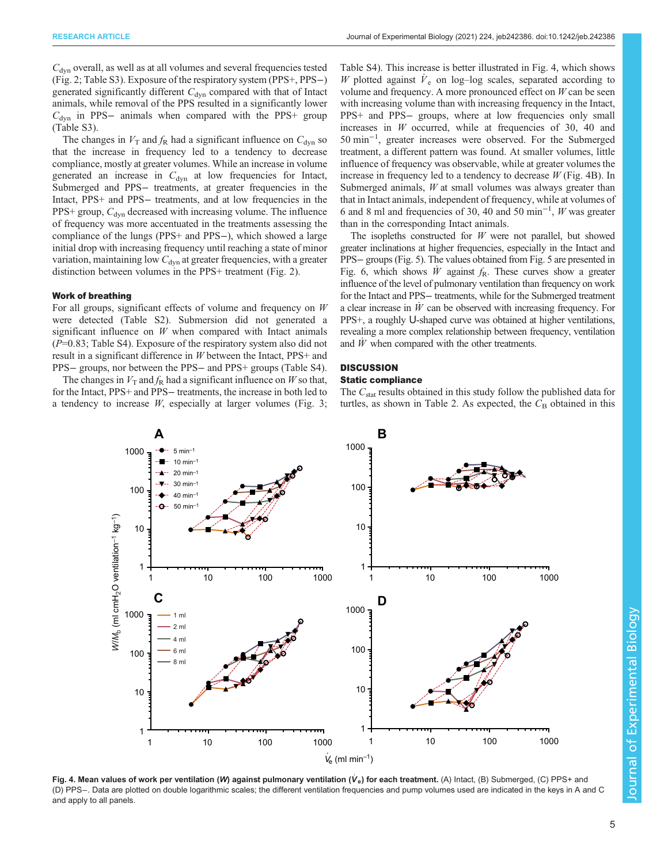<span id="page-4-0"></span> $C<sub>dyn</sub>$  overall, as well as at all volumes and several frequencies tested [\(Fig. 2;](#page-2-0) [Table S3\)](https://journals.biologists.com/jeb/article-lookup/DOI/10.1242/jeb.242386). Exposure of the respiratory system (PPS+, PPS−) generated significantly different  $C_{dyn}$  compared with that of Intact animals, while removal of the PPS resulted in a significantly lower  $C_{\text{dyn}}$  in PPS– animals when compared with the PPS+ group [\(Table S3\)](https://journals.biologists.com/jeb/article-lookup/DOI/10.1242/jeb.242386).

The changes in  $V_T$  and  $f_R$  had a significant influence on  $C_{\text{dyn}}$  so that the increase in frequency led to a tendency to decrease compliance, mostly at greater volumes. While an increase in volume generated an increase in  $C_{dyn}$  at low frequencies for Intact, Submerged and PPS− treatments, at greater frequencies in the Intact, PPS+ and PPS− treatments, and at low frequencies in the  $PPS+$  group,  $C<sub>dyn</sub>$  decreased with increasing volume. The influence of frequency was more accentuated in the treatments assessing the compliance of the lungs (PPS+ and PPS−), which showed a large initial drop with increasing frequency until reaching a state of minor variation, maintaining low  $C_{dyn}$  at greater frequencies, with a greater distinction between volumes in the PPS+ treatment ([Fig. 2](#page-2-0)).

### Work of breathing

For all groups, significant effects of volume and frequency on W were detected ([Table S2](https://journals.biologists.com/jeb/article-lookup/DOI/10.1242/jeb.242386)). Submersion did not generated a significant influence on  $W$  when compared with Intact animals  $(P=0.83;$  [Table S4](https://journals.biologists.com/jeb/article-lookup/DOI/10.1242/jeb.242386)). Exposure of the respiratory system also did not result in a significant difference in W between the Intact, PPS+ and PPS− groups, nor between the PPS− and PPS+ groups ([Table S4\)](https://journals.biologists.com/jeb/article-lookup/DOI/10.1242/jeb.242386).

The changes in  $V<sub>T</sub>$  and  $f<sub>R</sub>$  had a significant influence on W so that, for the Intact, PPS+ and PPS− treatments, the increase in both led to a tendency to increase  $W$ , especially at larger volumes [\(Fig. 3](#page-3-0); [Table S4\)](https://journals.biologists.com/jeb/article-lookup/DOI/10.1242/jeb.242386). This increase is better illustrated in Fig. 4, which shows W plotted against  $\dot{V}_e$  on log–log scales, separated according to volume and frequency. A more pronounced effect on  $W$  can be seen with increasing volume than with increasing frequency in the Intact, PPS+ and PPS- groups, where at low frequencies only small increases in  $W$  occurred, while at frequencies of 30, 40 and 50 min−<sup>1</sup> , greater increases were observed. For the Submerged treatment, a different pattern was found. At smaller volumes, little influence of frequency was observable, while at greater volumes the increase in frequency led to a tendency to decrease  $W$  (Fig. 4B). In Submerged animals,  $W$  at small volumes was always greater than that in Intact animals, independent of frequency, while at volumes of 6 and 8 ml and frequencies of 30, 40 and 50 min−<sup>1</sup> , W was greater than in the corresponding Intact animals.

The isopleths constructed for  $W$  were not parallel, but showed greater inclinations at higher frequencies, especially in the Intact and PPS− groups ([Fig. 5](#page-5-0)). The values obtained from [Fig. 5](#page-5-0) are presented in [Fig. 6](#page-6-0), which shows  $\dot{W}$  against  $f_R$ . These curves show a greater influence of the level of pulmonary ventilation than frequency on work for the Intact and PPS− treatments, while for the Submerged treatment a clear increase in  $\dot{W}$  can be observed with increasing frequency. For PPS+, a roughly U-shaped curve was obtained at higher ventilations, revealing a more complex relationship between frequency, ventilation and  $\dot{W}$  when compared with the other treatments.

## **DISCUSSION**

### Static compliance

The  $C_{\text{stat}}$  results obtained in this study follow the published data for turtles, as shown in [Table 2](#page-6-0). As expected, the  $C_B$  obtained in this



Fig. 4. Mean values of work per ventilation (W) against pulmonary ventilation ( $V_e$ ) for each treatment. (A) Intact, (B) Submerged, (C) PPS+ and (D) PPS−. Data are plotted on double logarithmic scales; the different ventilation frequencies and pump volumes used are indicated in the keys in A and C and apply to all panels.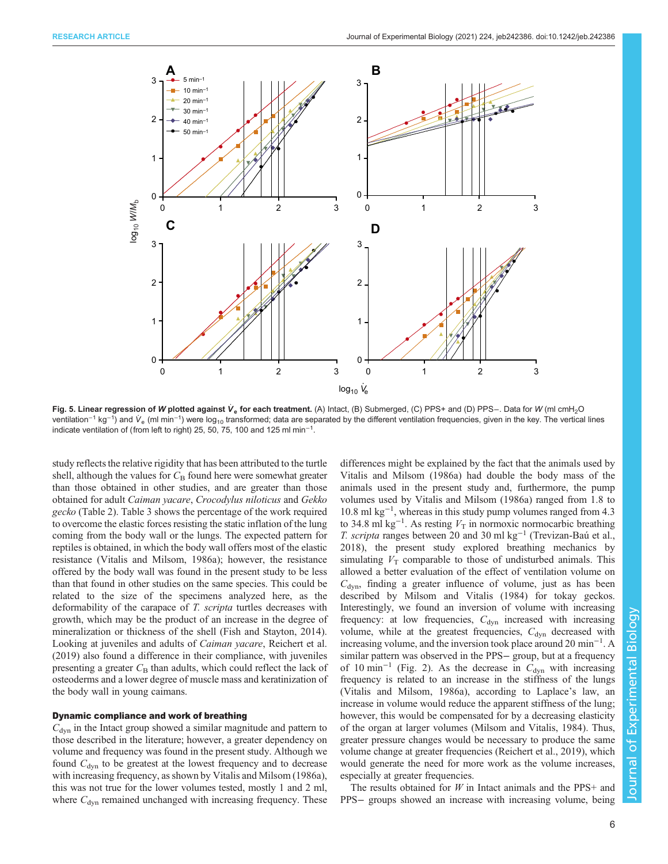<span id="page-5-0"></span>

Fig. 5. Linear regression of W plotted against Ve for each treatment. (A) Intact, (B) Submerged, (C) PPS+ and (D) PPS−. Data for W (ml cmH<sub>2</sub>O ventilation<sup>–1</sup> kg<sup>–1</sup>) and V<sub>e</sub> (ml min<sup>–1</sup>) were log<sub>10</sub> transformed; data are separated by the different ventilation frequencies, given in the key. The vertical lines indicate ventilation of (from left to right) 25, 50, 75, 100 and 125 ml min<sup>-1</sup>.

study reflects the relative rigidity that has been attributed to the turtle shell, although the values for  $C_B$  found here were somewhat greater than those obtained in other studies, and are greater than those obtained for adult Caiman yacare, Crocodylus niloticus and Gekko gecko [\(Table 2](#page-6-0)). [Table 3](#page-7-0) shows the percentage of the work required to overcome the elastic forces resisting the static inflation of the lung coming from the body wall or the lungs. The expected pattern for reptiles is obtained, in which the body wall offers most of the elastic resistance [\(Vitalis and Milsom, 1986a\)](#page-9-0); however, the resistance offered by the body wall was found in the present study to be less than that found in other studies on the same species. This could be related to the size of the specimens analyzed here, as the deformability of the carapace of T. scripta turtles decreases with growth, which may be the product of an increase in the degree of mineralization or thickness of the shell ([Fish and Stayton, 2014\)](#page-9-0). Looking at juveniles and adults of Caiman yacare, [Reichert et al.](#page-9-0) [\(2019\)](#page-9-0) also found a difference in their compliance, with juveniles presenting a greater  $C_{\rm B}$  than adults, which could reflect the lack of osteoderms and a lower degree of muscle mass and keratinization of the body wall in young caimans.

### Dynamic compliance and work of breathing

 $C<sub>dyn</sub>$  in the Intact group showed a similar magnitude and pattern to those described in the literature; however, a greater dependency on volume and frequency was found in the present study. Although we found  $C<sub>dyn</sub>$  to be greatest at the lowest frequency and to decrease with increasing frequency, as shown by [Vitalis and Milsom \(1986a\),](#page-9-0) this was not true for the lower volumes tested, mostly 1 and 2 ml, where  $C_{dyn}$  remained unchanged with increasing frequency. These differences might be explained by the fact that the animals used by [Vitalis and Milsom \(1986a\)](#page-9-0) had double the body mass of the animals used in the present study and, furthermore, the pump volumes used by [Vitalis and Milsom \(1986a\)](#page-9-0) ranged from 1.8 to 10.8 ml kg−<sup>1</sup> , whereas in this study pump volumes ranged from 4.3 to 34.8 ml kg<sup>-1</sup>. As resting  $V_T$  in normoxic normocarbic breathing T. scripta ranges between 20 and 30 ml kg<sup>-1</sup> ([Trevizan-Baú et al.,](#page-9-0) [2018\)](#page-9-0), the present study explored breathing mechanics by simulating  $V_T$  comparable to those of undisturbed animals. This allowed a better evaluation of the effect of ventilation volume on  $C_{\text{dyn}}$ , finding a greater influence of volume, just as has been described by [Milsom and Vitalis \(1984\)](#page-9-0) for tokay geckos. Interestingly, we found an inversion of volume with increasing frequency: at low frequencies,  $C_{dyn}$  increased with increasing volume, while at the greatest frequencies,  $C_{dyn}$  decreased with increasing volume, and the inversion took place around 20 min−<sup>1</sup> . A similar pattern was observed in the PPS− group, but at a frequency of 10 min<sup>-1</sup> [\(Fig. 2\)](#page-2-0). As the decrease in  $C_{dyn}$  with increasing frequency is related to an increase in the stiffness of the lungs [\(Vitalis and Milsom, 1986a](#page-9-0)), according to Laplace's law, an increase in volume would reduce the apparent stiffness of the lung; however, this would be compensated for by a decreasing elasticity of the organ at larger volumes [\(Milsom and Vitalis, 1984](#page-9-0)). Thus, greater pressure changes would be necessary to produce the same volume change at greater frequencies [\(Reichert et al., 2019](#page-9-0)), which would generate the need for more work as the volume increases, especially at greater frequencies.

The results obtained for  $W$  in Intact animals and the PPS+ and PPS– groups showed an increase with increasing volume, being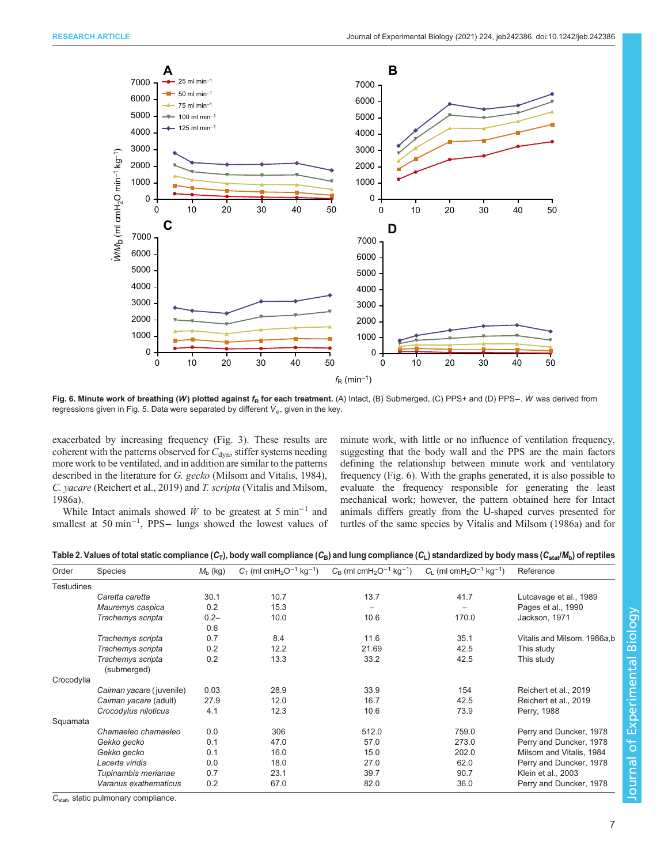<span id="page-6-0"></span>

Fig. 6. Minute work of breathing (W) plotted against f<sub>R</sub> for each treatment. (A) Intact, (B) Submerged, (C) PPS+ and (D) PPS−. W was derived from regressions given in [Fig. 5.](#page-5-0) Data were separated by different  $V_e$ , given in the key.

exacerbated by increasing frequency ([Fig. 3](#page-3-0)). These results are coherent with the patterns observed for  $C_{dyn}$ , stiffer systems needing more work to be ventilated, and in addition are similar to the patterns described in the literature for G. gecko ([Milsom and Vitalis, 1984\)](#page-9-0), C. yacare [\(Reichert et al., 2019](#page-9-0)) and T. scripta [\(Vitalis and Milsom,](#page-9-0) [1986a](#page-9-0)).

While Intact animals showed  $\dot{W}$  to be greatest at 5 min<sup>-1</sup> and smallest at 50 min<sup>-1</sup>, PPS- lungs showed the lowest values of minute work, with little or no influence of ventilation frequency, suggesting that the body wall and the PPS are the main factors defining the relationship between minute work and ventilatory frequency (Fig. 6). With the graphs generated, it is also possible to evaluate the frequency responsible for generating the least mechanical work; however, the pattern obtained here for Intact animals differs greatly from the U-shaped curves presented for turtles of the same species by [Vitalis and Milsom \(1986a\)](#page-9-0) and for

Table 2. Values of total static compliance  $(C_T)$ , body wall compliance  $(C_B)$  and lung compliance  $(C_L)$  standardized by body mass  $(C_{stat}/M_b)$  of reptiles

| Order             | <b>Species</b>                   | $M_{\rm b}$ (kg) | $C_T$ (ml cmH <sub>2</sub> O <sup>-1</sup> kg <sup>-1</sup> ) | $C_B$ (ml cmH <sub>2</sub> O <sup>-1</sup> kg <sup>-1</sup> ) | $C_{L}$ (ml cmH <sub>2</sub> O <sup>-1</sup> kg <sup>-1</sup> ) | Reference                   |
|-------------------|----------------------------------|------------------|---------------------------------------------------------------|---------------------------------------------------------------|-----------------------------------------------------------------|-----------------------------|
| <b>Testudines</b> |                                  |                  |                                                               |                                                               |                                                                 |                             |
|                   | Caretta caretta                  | 30.1             | 10.7                                                          | 13.7                                                          | 41.7                                                            | Lutcavage et al., 1989      |
|                   | Mauremys caspica                 | 0.2              | 15.3                                                          | $\overline{\phantom{0}}$                                      |                                                                 | Pages et al., 1990          |
|                   | Trachemys scripta                | $0.2 -$<br>0.6   | 10.0                                                          | 10.6                                                          | 170.0                                                           | Jackson, 1971               |
|                   | Trachemys scripta                | 0.7              | 8.4                                                           | 11.6                                                          | 35.1                                                            | Vitalis and Milsom, 1986a,b |
|                   | Trachemys scripta                | 0.2              | 12.2                                                          | 21.69                                                         | 42.5                                                            | This study                  |
|                   | Trachemys scripta<br>(submerged) | 0.2              | 13.3                                                          | 33.2                                                          | 42.5                                                            | This study                  |
| Crocodylia        |                                  |                  |                                                               |                                                               |                                                                 |                             |
|                   | Caiman yacare (juvenile)         | 0.03             | 28.9                                                          | 33.9                                                          | 154                                                             | Reichert et al., 2019       |
|                   | Caiman yacare (adult)            | 27.9             | 12.0                                                          | 16.7                                                          | 42.5                                                            | Reichert et al., 2019       |
|                   | Crocodylus niloticus             | 4.1              | 12.3                                                          | 10.6                                                          | 73.9                                                            | Perry, 1988                 |
| Squamata          |                                  |                  |                                                               |                                                               |                                                                 |                             |
|                   | Chamaeleo chamaeleo              | 0.0              | 306                                                           | 512.0                                                         | 759.0                                                           | Perry and Duncker, 1978     |
|                   | Gekko gecko                      | 0.1              | 47.0                                                          | 57.0                                                          | 273.0                                                           | Perry and Duncker, 1978     |
|                   | Gekko gecko                      | 0.1              | 16.0                                                          | 15.0                                                          | 202.0                                                           | Milsom and Vitalis, 1984    |
|                   | Lacerta viridis                  | 0.0              | 18.0                                                          | 27.0                                                          | 62.0                                                            | Perry and Duncker, 1978     |
|                   | Tupinambis merianae              | 0.7              | 23.1                                                          | 39.7                                                          | 90.7                                                            | Klein et al., 2003          |
|                   | Varanus exathematicus            | 0.2              | 67.0                                                          | 82.0                                                          | 36.0                                                            | Perry and Duncker, 1978     |

C<sub>stat</sub>, static pulmonary compliance.

**Journal of Experimental Biology** Journal of Experimental Biology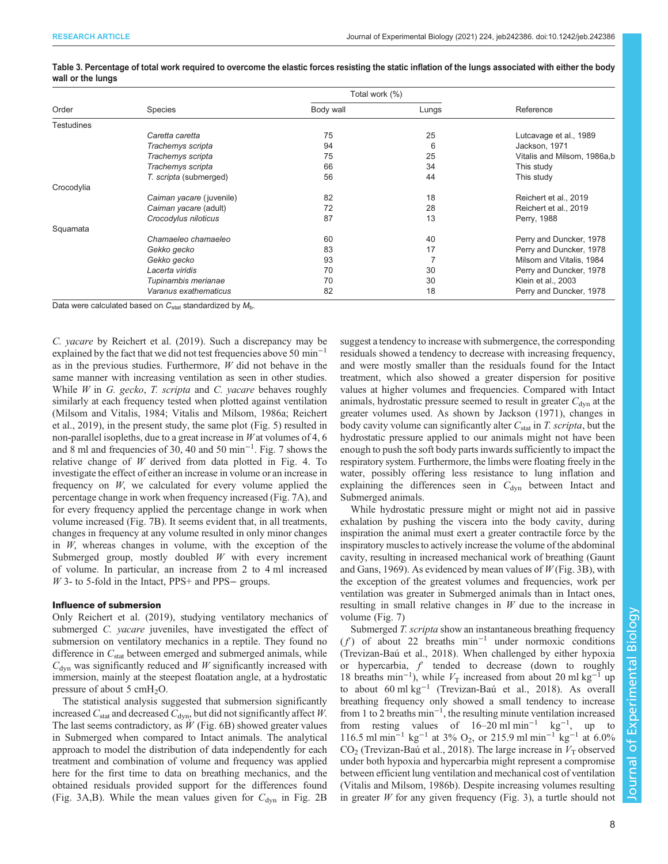|                   |                          | Total work (%) |       |                             |
|-------------------|--------------------------|----------------|-------|-----------------------------|
| Order             | Species                  | Body wall      | Lungs | Reference                   |
| <b>Testudines</b> |                          |                |       |                             |
|                   | Caretta caretta          | 75             | 25    | Lutcavage et al., 1989      |
|                   | Trachemys scripta        | 94             | 6     | Jackson, 1971               |
|                   | Trachemys scripta        | 75             | 25    | Vitalis and Milsom, 1986a,b |
|                   | Trachemys scripta        | 66             | 34    | This study                  |
|                   | T. scripta (submerged)   | 56             | 44    | This study                  |
| Crocodylia        |                          |                |       |                             |
|                   | Caiman yacare (juvenile) | 82             | 18    | Reichert et al., 2019       |
|                   | Caiman yacare (adult)    | 72             | 28    | Reichert et al., 2019       |
|                   | Crocodylus niloticus     | 87             | 13    | Perry, 1988                 |
| Squamata          |                          |                |       |                             |
|                   | Chamaeleo chamaeleo      | 60             | 40    | Perry and Duncker, 1978     |
|                   | Gekko gecko              | 83             | 17    | Perry and Duncker, 1978     |
|                   | Gekko gecko              | 93             |       | Milsom and Vitalis, 1984    |
|                   | Lacerta viridis          | 70             | 30    | Perry and Duncker, 1978     |
|                   | Tupinambis merianae      | 70             | 30    | Klein et al., 2003          |
|                   | Varanus exathematicus    | 82             | 18    | Perry and Duncker, 1978     |

### <span id="page-7-0"></span>Table 3. Percentage of total work required to overcome the elastic forces resisting the static inflation of the lungs associated with either the body wall or the lungs

Data were calculated based on  $C_{stat}$  standardized by  $M_{\rm b}$ .

C. yacare by [Reichert et al. \(2019\)](#page-9-0). Such a discrepancy may be explained by the fact that we did not test frequencies above 50 min<sup>-1</sup> as in the previous studies. Furthermore,  $W$  did not behave in the same manner with increasing ventilation as seen in other studies. While  $W$  in  $G$ . gecko,  $T$ . scripta and  $C$ . yacare behaves roughly similarly at each frequency tested when plotted against ventilation [\(Milsom and Vitalis, 1984](#page-9-0); [Vitalis and Milsom, 1986a](#page-9-0); [Reichert](#page-9-0) [et al., 2019](#page-9-0)), in the present study, the same plot ([Fig. 5](#page-5-0)) resulted in non-parallel isopleths, due to a great increase in  $W$  at volumes of 4, 6 and 8 ml and frequencies of 30, 40 and 50 min−<sup>1</sup> . [Fig. 7](#page-8-0) shows the relative change of  $W$  derived from data plotted in [Fig. 4](#page-4-0). To investigate the effect of either an increase in volume or an increase in frequency on W, we calculated for every volume applied the percentage change in work when frequency increased ([Fig. 7](#page-8-0)A), and for every frequency applied the percentage change in work when volume increased [\(Fig. 7](#page-8-0)B). It seems evident that, in all treatments, changes in frequency at any volume resulted in only minor changes in W, whereas changes in volume, with the exception of the Submerged group, mostly doubled  $W$  with every increment of volume. In particular, an increase from 2 to 4 ml increased W 3- to 5-fold in the Intact, PPS+ and PPS− groups.

### Influence of submersion

Only [Reichert et al. \(2019\)](#page-9-0), studying ventilatory mechanics of submerged C. yacare juveniles, have investigated the effect of submersion on ventilatory mechanics in a reptile. They found no difference in  $C_{stat}$  between emerged and submerged animals, while  $C<sub>dyn</sub>$  was significantly reduced and W significantly increased with immersion, mainly at the steepest floatation angle, at a hydrostatic pressure of about 5 cm $H_2O$ .

The statistical analysis suggested that submersion significantly increased  $C_{\text{stat}}$  and decreased  $C_{\text{dyn}}$ , but did not significantly affect W. The last seems contradictory, as  $\dot{W}$  ([Fig. 6B](#page-6-0)) showed greater values in Submerged when compared to Intact animals. The analytical approach to model the distribution of data independently for each treatment and combination of volume and frequency was applied here for the first time to data on breathing mechanics, and the obtained residuals provided support for the differences found [\(Fig. 3](#page-3-0)A,B). While the mean values given for  $C_{dyn}$  in [Fig. 2B](#page-2-0) suggest a tendency to increase with submergence, the corresponding residuals showed a tendency to decrease with increasing frequency, and were mostly smaller than the residuals found for the Intact treatment, which also showed a greater dispersion for positive values at higher volumes and frequencies. Compared with Intact animals, hydrostatic pressure seemed to result in greater  $C_{\text{dyn}}$  at the greater volumes used. As shown by [Jackson \(1971\),](#page-9-0) changes in body cavity volume can significantly alter  $C_{\text{stat}}$  in T. scripta, but the hydrostatic pressure applied to our animals might not have been enough to push the soft body parts inwards sufficiently to impact the respiratory system. Furthermore, the limbs were floating freely in the water, possibly offering less resistance to lung inflation and explaining the differences seen in  $C_{dyn}$  between Intact and Submerged animals.

While hydrostatic pressure might or might not aid in passive exhalation by pushing the viscera into the body cavity, during inspiration the animal must exert a greater contractile force by the inspiratory muscles to actively increase the volume of the abdominal cavity, resulting in increased mechanical work of breathing ([Gaunt](#page-9-0) [and Gans, 1969](#page-9-0)). As evidenced by mean values of  $W$  ([Fig. 3B](#page-3-0)), with the exception of the greatest volumes and frequencies, work per ventilation was greater in Submerged animals than in Intact ones, resulting in small relative changes in  $W$  due to the increase in volume ([Fig. 7](#page-8-0))

Submerged T. scripta show an instantaneous breathing frequency  $(f')$  of about 22 breaths min<sup>-1</sup> under normoxic conditions [\(Trevizan-Baú et al., 2018](#page-9-0)). When challenged by either hypoxia or hypercarbia,  $f'$  tended to decrease (down to roughly 18 breaths min<sup>-1</sup>), while  $V_T$  increased from about 20 ml kg<sup>-1</sup> up to about 60 ml kg−<sup>1</sup> ([Trevizan-Baú et al., 2018](#page-9-0)). As overall breathing frequency only showed a small tendency to increase from 1 to 2 breaths min−<sup>1</sup> , the resulting minute ventilation increased from resting values of  $16-20$  ml min<sup>-1</sup> kg<sup>-1</sup>, up to 116.5 ml min<sup>-1</sup> kg<sup>-1</sup> at 3% O<sub>2</sub>, or 215.9 ml min<sup>-1</sup> kg<sup>-1</sup> at 6.0%  $CO<sub>2</sub>$  ([Trevizan-Baú et al., 2018\)](#page-9-0). The large increase in  $V<sub>T</sub>$  observed under both hypoxia and hypercarbia might represent a compromise between efficient lung ventilation and mechanical cost of ventilation [\(Vitalis and Milsom, 1986b\)](#page-9-0). Despite increasing volumes resulting in greater  $W$  for any given frequency [\(Fig. 3](#page-3-0)), a turtle should not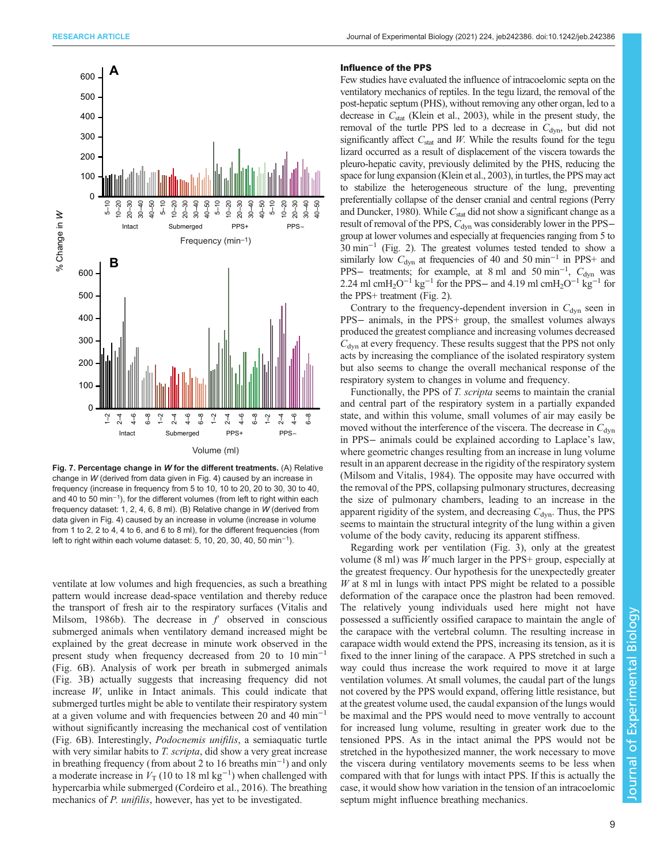<span id="page-8-0"></span>

Fig. 7. Percentage change in W for the different treatments. (A) Relative change in W (derived from data given in [Fig. 4\)](#page-4-0) caused by an increase in frequency (increase in frequency from 5 to 10, 10 to 20, 20 to 30, 30 to 40, and 40 to 50 min<sup>-1</sup>), for the different volumes (from left to right within each frequency dataset: 1, 2, 4, 6, 8 ml). (B) Relative change in W (derived from data given in [Fig. 4\)](#page-4-0) caused by an increase in volume (increase in volume from 1 to 2, 2 to 4, 4 to 6, and 6 to 8 ml), for the different frequencies (from left to right within each volume dataset: 5, 10, 20, 30, 40, 50 min<sup>-1</sup>).

ventilate at low volumes and high frequencies, as such a breathing pattern would increase dead-space ventilation and thereby reduce the transport of fresh air to the respiratory surfaces [\(Vitalis and](#page-9-0) [Milsom, 1986b](#page-9-0)). The decrease in  $f$  observed in conscious submerged animals when ventilatory demand increased might be explained by the great decrease in minute work observed in the present study when frequency decreased from 20 to 10 min−<sup>1</sup> [\(Fig. 6B](#page-6-0)). Analysis of work per breath in submerged animals [\(Fig. 3](#page-3-0)B) actually suggests that increasing frequency did not increase W, unlike in Intact animals. This could indicate that submerged turtles might be able to ventilate their respiratory system at a given volume and with frequencies between 20 and 40 min−<sup>1</sup> without significantly increasing the mechanical cost of ventilation [\(Fig. 6](#page-6-0)B). Interestingly, Podocnemis unifilis, a semiaquatic turtle with very similar habits to *T. scripta*, did show a very great increase in breathing frequency (from about 2 to 16 breaths min−<sup>1</sup> ) and only a moderate increase in  $V_T$  (10 to 18 ml kg<sup>-1</sup>) when challenged with hypercarbia while submerged ([Cordeiro et al., 2016](#page-9-0)). The breathing mechanics of *P. unifilis*, however, has yet to be investigated.

### Influence of the PPS

Few studies have evaluated the influence of intracoelomic septa on the ventilatory mechanics of reptiles. In the tegu lizard, the removal of the post-hepatic septum (PHS), without removing any other organ, led to a decrease in  $C_{\text{stat}}$  ([Klein et al., 2003](#page-9-0)), while in the present study, the removal of the turtle PPS led to a decrease in  $C_{dyn}$ , but did not significantly affect  $C_{stat}$  and W. While the results found for the tegu lizard occurred as a result of displacement of the viscera towards the pleuro-hepatic cavity, previously delimited by the PHS, reducing the space for lung expansion ([Klein et al., 2003](#page-9-0)), in turtles, the PPS may act to stabilize the heterogeneous structure of the lung, preventing preferentially collapse of the denser cranial and central regions ([Perry](#page-9-0) [and Duncker, 1980\)](#page-9-0). While  $C_{\text{stat}}$  did not show a significant change as a result of removal of the PPS,  $C_{\text{dyn}}$  was considerably lower in the PPS− group at lower volumes and especially at frequencies ranging from 5 to 30 min−<sup>1</sup> [\(Fig. 2](#page-2-0)). The greatest volumes tested tended to show a similarly low  $C_{dyn}$  at frequencies of 40 and 50 min<sup>-1</sup> in PPS+ and PPS– treatments; for example, at 8 ml and 50 min<sup>-1</sup>,  $C_{dyn}$  was 2.24 ml cmH<sub>2</sub>O<sup>-1</sup> kg<sup>-1</sup> for the PPS− and 4.19 ml cmH<sub>2</sub>O<sup>-1</sup> kg<sup>-1</sup> for the PPS+ treatment [\(Fig. 2](#page-2-0)).

Contrary to the frequency-dependent inversion in  $C_{dyn}$  seen in PPS− animals, in the PPS+ group, the smallest volumes always produced the greatest compliance and increasing volumes decreased  $C<sub>dyn</sub>$  at every frequency. These results suggest that the PPS not only acts by increasing the compliance of the isolated respiratory system but also seems to change the overall mechanical response of the respiratory system to changes in volume and frequency.

Functionally, the PPS of T. scripta seems to maintain the cranial and central part of the respiratory system in a partially expanded state, and within this volume, small volumes of air may easily be moved without the interference of the viscera. The decrease in  $C_{\text{dyn}}$ in PPS− animals could be explained according to Laplace's law, where geometric changes resulting from an increase in lung volume result in an apparent decrease in the rigidity of the respiratory system [\(Milsom and Vitalis, 1984\)](#page-9-0). The opposite may have occurred with the removal of the PPS, collapsing pulmonary structures, decreasing the size of pulmonary chambers, leading to an increase in the apparent rigidity of the system, and decreasing  $C_{\text{dyn}}$ . Thus, the PPS seems to maintain the structural integrity of the lung within a given volume of the body cavity, reducing its apparent stiffness.

Regarding work per ventilation [\(Fig. 3](#page-3-0)), only at the greatest volume (8 ml) was  $W$  much larger in the PPS+ group, especially at the greatest frequency. Our hypothesis for the unexpectedly greater W at 8 ml in lungs with intact PPS might be related to a possible deformation of the carapace once the plastron had been removed. The relatively young individuals used here might not have possessed a sufficiently ossified carapace to maintain the angle of the carapace with the vertebral column. The resulting increase in carapace width would extend the PPS, increasing its tension, as it is fixed to the inner lining of the carapace. A PPS stretched in such a way could thus increase the work required to move it at large ventilation volumes. At small volumes, the caudal part of the lungs not covered by the PPS would expand, offering little resistance, but at the greatest volume used, the caudal expansion of the lungs would be maximal and the PPS would need to move ventrally to account for increased lung volume, resulting in greater work due to the tensioned PPS. As in the intact animal the PPS would not be stretched in the hypothesized manner, the work necessary to move the viscera during ventilatory movements seems to be less when compared with that for lungs with intact PPS. If this is actually the case, it would show how variation in the tension of an intracoelomic septum might influence breathing mechanics.